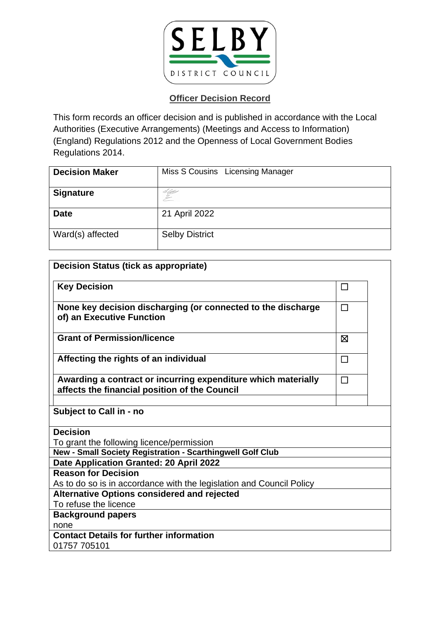

## **Officer Decision Record**

This form records an officer decision and is published in accordance with the Local Authorities (Executive Arrangements) (Meetings and Access to Information) (England) Regulations 2012 and the Openness of Local Government Bodies Regulations 2014.

| <b>Decision Maker</b> | Miss S Cousins Licensing Manager |
|-----------------------|----------------------------------|
| <b>Signature</b>      | S Ubbs                           |
| <b>Date</b>           | 21 April 2022                    |
| Ward(s) affected      | <b>Selby District</b>            |

| <b>Decision Status (tick as appropriate)</b>                                                                   |        |  |
|----------------------------------------------------------------------------------------------------------------|--------|--|
| <b>Key Decision</b>                                                                                            | □      |  |
| None key decision discharging (or connected to the discharge<br>of) an Executive Function                      | $\Box$ |  |
| <b>Grant of Permission/licence</b>                                                                             | ⊠      |  |
| Affecting the rights of an individual                                                                          | $\Box$ |  |
| Awarding a contract or incurring expenditure which materially<br>affects the financial position of the Council | П      |  |
| Subject to Call in - no                                                                                        |        |  |
| <b>Decision</b>                                                                                                |        |  |
| To grant the following licence/permission                                                                      |        |  |
| New - Small Society Registration - Scarthingwell Golf Club                                                     |        |  |
| Date Application Granted: 20 April 2022                                                                        |        |  |
| <b>Reason for Decision</b>                                                                                     |        |  |
| As to do so is in accordance with the legislation and Council Policy                                           |        |  |
| <b>Alternative Options considered and rejected</b>                                                             |        |  |
| To refuse the licence                                                                                          |        |  |
| <b>Background papers</b>                                                                                       |        |  |
| none                                                                                                           |        |  |
| <b>Contact Details for further information</b><br>01757 705101                                                 |        |  |